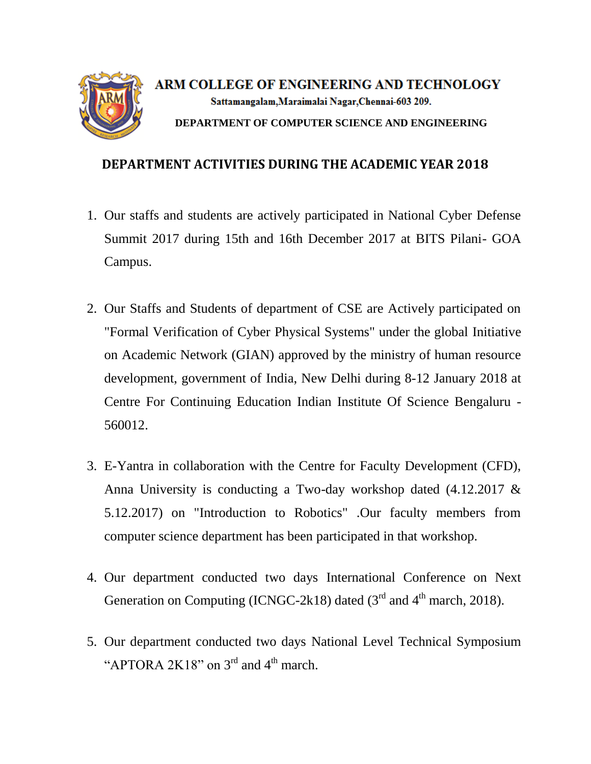

ARM COLLEGE OF ENGINEERING AND TECHNOLOGY Sattamangalam, Maraimalai Nagar, Chennai-603 209. **DEPARTMENT OF COMPUTER SCIENCE AND ENGINEERING**

## **DEPARTMENT ACTIVITIES DURING THE ACADEMIC YEAR 2018**

- 1. Our staffs and students are actively participated in National Cyber Defense Summit 2017 during 15th and 16th December 2017 at BITS Pilani- GOA Campus.
- 2. Our Staffs and Students of department of CSE are Actively participated on "Formal Verification of Cyber Physical Systems" under the global Initiative on Academic Network (GIAN) approved by the ministry of human resource development, government of India, New Delhi during 8-12 January 2018 at Centre For Continuing Education Indian Institute Of Science Bengaluru - 560012.
- 3. E-Yantra in collaboration with the Centre for Faculty Development (CFD), Anna University is conducting a Two-day workshop dated (4.12.2017 & 5.12.2017) on "Introduction to Robotics" .Our faculty members from computer science department has been participated in that workshop.
- 4. Our department conducted two days International Conference on Next Generation on Computing (ICNGC-2k18) dated  $(3<sup>rd</sup>$  and  $4<sup>th</sup>$  march, 2018).
- 5. Our department conducted two days National Level Technical Symposium "APTORA 2K18" on  $3<sup>rd</sup>$  and  $4<sup>th</sup>$  march.